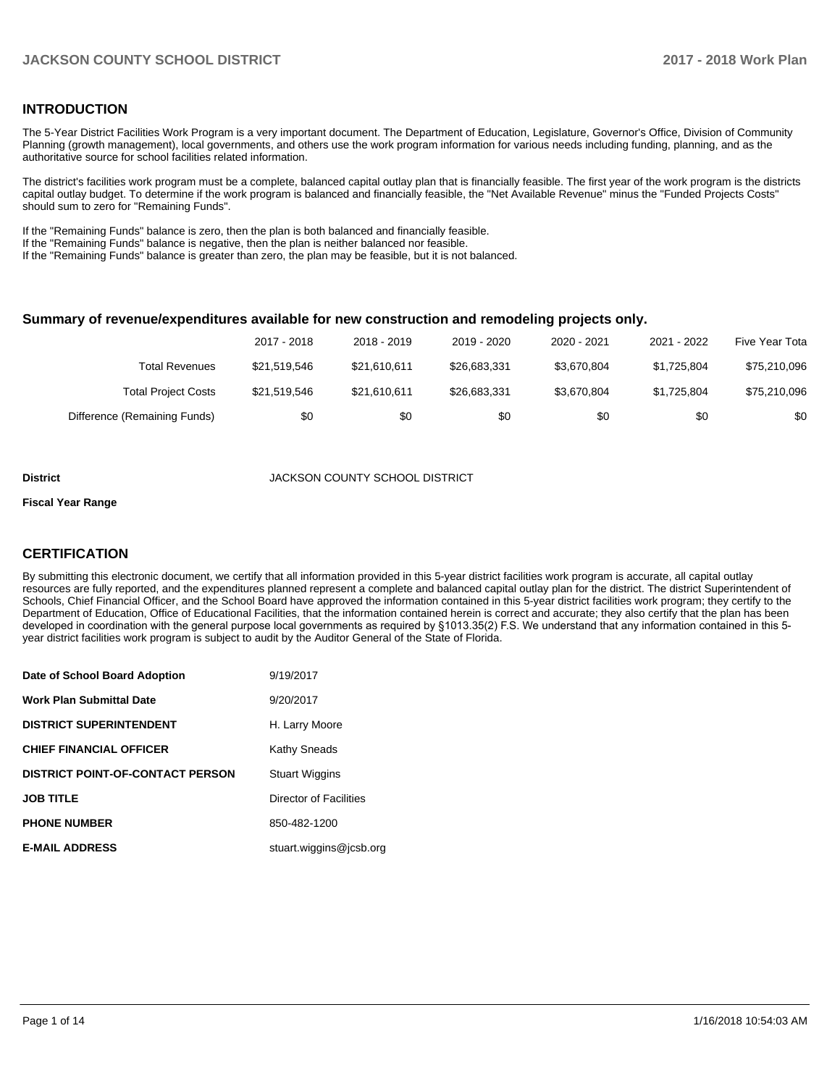### **INTRODUCTION**

The 5-Year District Facilities Work Program is a very important document. The Department of Education, Legislature, Governor's Office, Division of Community Planning (growth management), local governments, and others use the work program information for various needs including funding, planning, and as the authoritative source for school facilities related information.

The district's facilities work program must be a complete, balanced capital outlay plan that is financially feasible. The first year of the work program is the districts capital outlay budget. To determine if the work program is balanced and financially feasible, the "Net Available Revenue" minus the "Funded Projects Costs" should sum to zero for "Remaining Funds".

If the "Remaining Funds" balance is zero, then the plan is both balanced and financially feasible.

If the "Remaining Funds" balance is negative, then the plan is neither balanced nor feasible.

If the "Remaining Funds" balance is greater than zero, the plan may be feasible, but it is not balanced.

#### **Summary of revenue/expenditures available for new construction and remodeling projects only.**

|                              | 2017 - 2018  | 2018 - 2019  | 2019 - 2020  | 2020 - 2021 | 2021 - 2022 | Five Year Tota |
|------------------------------|--------------|--------------|--------------|-------------|-------------|----------------|
| Total Revenues               | \$21,519,546 | \$21.610.611 | \$26.683.331 | \$3.670.804 | \$1.725.804 | \$75,210,096   |
| <b>Total Project Costs</b>   | \$21,519,546 | \$21.610.611 | \$26.683.331 | \$3.670.804 | \$1.725.804 | \$75,210,096   |
| Difference (Remaining Funds) | \$0          | \$0          | \$0          | \$0         | \$0         | \$0            |

#### **District COUNTY SCHOOL DISTRICT**

#### **Fiscal Year Range**

### **CERTIFICATION**

By submitting this electronic document, we certify that all information provided in this 5-year district facilities work program is accurate, all capital outlay resources are fully reported, and the expenditures planned represent a complete and balanced capital outlay plan for the district. The district Superintendent of Schools, Chief Financial Officer, and the School Board have approved the information contained in this 5-year district facilities work program; they certify to the Department of Education, Office of Educational Facilities, that the information contained herein is correct and accurate; they also certify that the plan has been developed in coordination with the general purpose local governments as required by §1013.35(2) F.S. We understand that any information contained in this 5year district facilities work program is subject to audit by the Auditor General of the State of Florida.

| Date of School Board Adoption           | 9/19/2017               |
|-----------------------------------------|-------------------------|
| <b>Work Plan Submittal Date</b>         | 9/20/2017               |
| <b>DISTRICT SUPERINTENDENT</b>          | H. Larry Moore          |
| <b>CHIEF FINANCIAL OFFICER</b>          | Kathy Sneads            |
| <b>DISTRICT POINT-OF-CONTACT PERSON</b> | <b>Stuart Wiggins</b>   |
| <b>JOB TITLE</b>                        | Director of Facilities  |
| <b>PHONE NUMBER</b>                     | 850-482-1200            |
| <b>E-MAIL ADDRESS</b>                   | stuart.wiggins@icsb.org |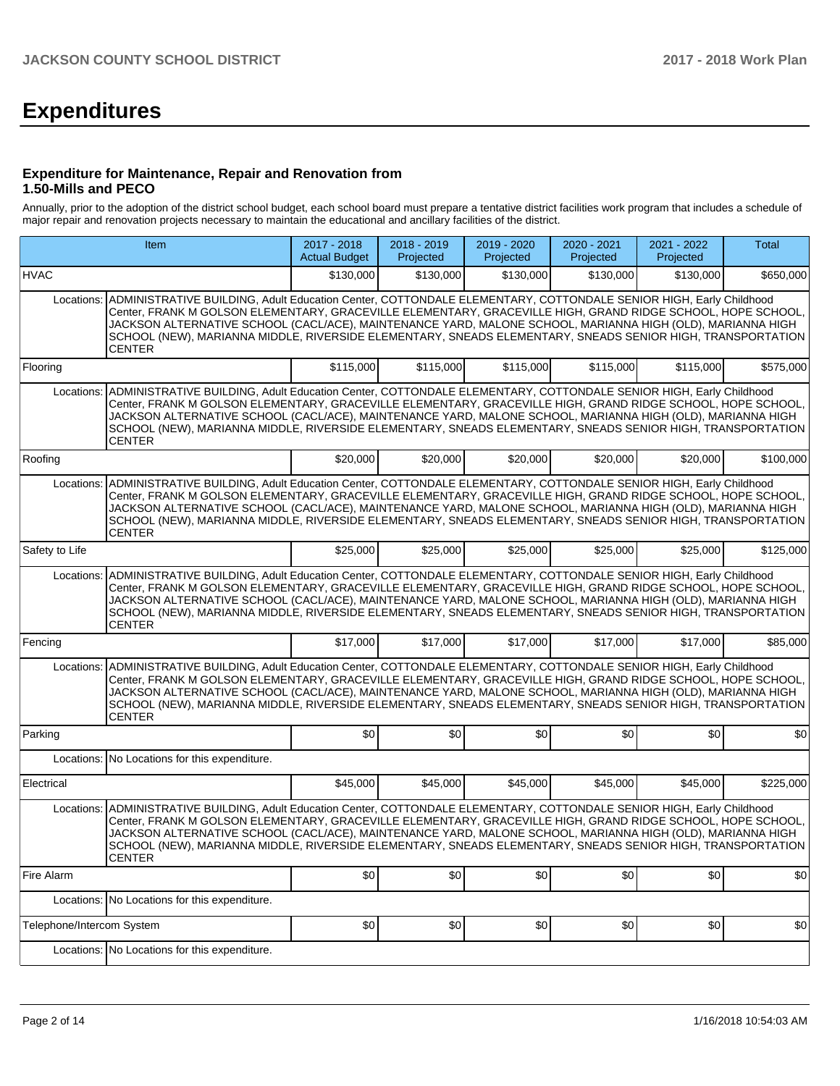# **Expenditures**

### **Expenditure for Maintenance, Repair and Renovation from 1.50-Mills and PECO**

Annually, prior to the adoption of the district school budget, each school board must prepare a tentative district facilities work program that includes a schedule of major repair and renovation projects necessary to maintain the educational and ancillary facilities of the district.

| Item                      |                                                                                                                                                                                                                                                                                                                                                                                                                                                                             | 2017 - 2018<br><b>Actual Budget</b> | 2018 - 2019<br>Projected | 2019 - 2020<br>Projected | 2020 - 2021<br>Projected | 2021 - 2022<br>Projected | Total     |
|---------------------------|-----------------------------------------------------------------------------------------------------------------------------------------------------------------------------------------------------------------------------------------------------------------------------------------------------------------------------------------------------------------------------------------------------------------------------------------------------------------------------|-------------------------------------|--------------------------|--------------------------|--------------------------|--------------------------|-----------|
| HVAC                      |                                                                                                                                                                                                                                                                                                                                                                                                                                                                             | \$130,000                           | \$130,000                | \$130,000                | \$130,000                | \$130,000                | \$650,000 |
| Locations:                | ADMINISTRATIVE BUILDING, Adult Education Center, COTTONDALE ELEMENTARY, COTTONDALE SENIOR HIGH, Early Childhood<br>Center, FRANK M GOLSON ELEMENTARY, GRACEVILLE ELEMENTARY, GRACEVILLE HIGH, GRAND RIDGE SCHOOL, HOPE SCHOOL,<br>JACKSON ALTERNATIVE SCHOOL (CACL/ACE), MAINTENANCE YARD, MALONE SCHOOL, MARIANNA HIGH (OLD), MARIANNA HIGH<br>SCHOOL (NEW), MARIANNA MIDDLE, RIVERSIDE ELEMENTARY, SNEADS ELEMENTARY, SNEADS SENIOR HIGH, TRANSPORTATION<br>CENTER        |                                     |                          |                          |                          |                          |           |
| Flooring                  |                                                                                                                                                                                                                                                                                                                                                                                                                                                                             | \$115,000                           | \$115,000                | \$115,000                | \$115,000                | \$115,000                | \$575,000 |
| Locations:                | ADMINISTRATIVE BUILDING, Adult Education Center, COTTONDALE ELEMENTARY, COTTONDALE SENIOR HIGH, Early Childhood<br>Center, FRANK M GOLSON ELEMENTARY, GRACEVILLE ELEMENTARY, GRACEVILLE HIGH, GRAND RIDGE SCHOOL, HOPE SCHOOL,<br>JACKSON ALTERNATIVE SCHOOL (CACL/ACE), MAINTENANCE YARD, MALONE SCHOOL, MARIANNA HIGH (OLD), MARIANNA HIGH<br>SCHOOL (NEW), MARIANNA MIDDLE, RIVERSIDE ELEMENTARY, SNEADS ELEMENTARY, SNEADS SENIOR HIGH, TRANSPORTATION<br><b>CENTER</b> |                                     |                          |                          |                          |                          |           |
| Roofing                   |                                                                                                                                                                                                                                                                                                                                                                                                                                                                             | \$20,000                            | \$20,000                 | \$20,000                 | \$20,000                 | \$20,000                 | \$100,000 |
| Locations:                | ADMINISTRATIVE BUILDING, Adult Education Center, COTTONDALE ELEMENTARY, COTTONDALE SENIOR HIGH, Early Childhood<br>Center, FRANK M GOLSON ELEMENTARY, GRACEVILLE ELEMENTARY, GRACEVILLE HIGH, GRAND RIDGE SCHOOL, HOPE SCHOOL,<br>JACKSON ALTERNATIVE SCHOOL (CACL/ACE), MAINTENANCE YARD, MALONE SCHOOL, MARIANNA HIGH (OLD), MARIANNA HIGH<br>SCHOOL (NEW), MARIANNA MIDDLE, RIVERSIDE ELEMENTARY, SNEADS ELEMENTARY, SNEADS SENIOR HIGH, TRANSPORTATION<br><b>CENTER</b> |                                     |                          |                          |                          |                          |           |
| Safety to Life            |                                                                                                                                                                                                                                                                                                                                                                                                                                                                             | \$25,000                            | \$25,000                 | \$25,000                 | \$25,000                 | \$25,000                 | \$125,000 |
| Locations:                | ADMINISTRATIVE BUILDING, Adult Education Center, COTTONDALE ELEMENTARY, COTTONDALE SENIOR HIGH, Early Childhood<br>Center, FRANK M GOLSON ELEMENTARY, GRACEVILLE ELEMENTARY, GRACEVILLE HIGH, GRAND RIDGE SCHOOL, HOPE SCHOOL,<br>JACKSON ALTERNATIVE SCHOOL (CACL/ACE), MAINTENANCE YARD, MALONE SCHOOL, MARIANNA HIGH (OLD), MARIANNA HIGH<br>SCHOOL (NEW), MARIANNA MIDDLE, RIVERSIDE ELEMENTARY, SNEADS ELEMENTARY, SNEADS SENIOR HIGH, TRANSPORTATION<br><b>CENTER</b> |                                     |                          |                          |                          |                          |           |
| Fencing                   |                                                                                                                                                                                                                                                                                                                                                                                                                                                                             | \$17,000                            | \$17,000                 | \$17,000                 | \$17,000                 | \$17,000                 | \$85,000  |
| Locations:                | ADMINISTRATIVE BUILDING, Adult Education Center, COTTONDALE ELEMENTARY, COTTONDALE SENIOR HIGH, Early Childhood<br>Center, FRANK M GOLSON ELEMENTARY, GRACEVILLE ELEMENTARY, GRACEVILLE HIGH, GRAND RIDGE SCHOOL, HOPE SCHOOL,<br>JACKSON ALTERNATIVE SCHOOL (CACL/ACE), MAINTENANCE YARD, MALONE SCHOOL, MARIANNA HIGH (OLD), MARIANNA HIGH<br>SCHOOL (NEW), MARIANNA MIDDLE, RIVERSIDE ELEMENTARY, SNEADS ELEMENTARY, SNEADS SENIOR HIGH, TRANSPORTATION<br><b>CENTER</b> |                                     |                          |                          |                          |                          |           |
| Parking                   |                                                                                                                                                                                                                                                                                                                                                                                                                                                                             | \$0                                 | \$0                      | \$0                      | \$0                      | \$0                      | \$0       |
|                           | Locations: No Locations for this expenditure.                                                                                                                                                                                                                                                                                                                                                                                                                               |                                     |                          |                          |                          |                          |           |
| Electrical                |                                                                                                                                                                                                                                                                                                                                                                                                                                                                             | \$45,000                            | \$45,000                 | \$45,000                 | \$45,000                 | \$45,000                 | \$225,000 |
| Locations:                | ADMINISTRATIVE BUILDING, Adult Education Center, COTTONDALE ELEMENTARY, COTTONDALE SENIOR HIGH, Early Childhood<br>Center, FRANK M GOLSON ELEMENTARY, GRACEVILLE ELEMENTARY, GRACEVILLE HIGH, GRAND RIDGE SCHOOL, HOPE SCHOOL,<br>JACKSON ALTERNATIVE SCHOOL (CACL/ACE), MAINTENANCE YARD, MALONE SCHOOL, MARIANNA HIGH (OLD), MARIANNA HIGH<br>SCHOOL (NEW), MARIANNA MIDDLE, RIVERSIDE ELEMENTARY, SNEADS ELEMENTARY, SNEADS SENIOR HIGH, TRANSPORTATION<br><b>CENTER</b> |                                     |                          |                          |                          |                          |           |
| Fire Alarm                |                                                                                                                                                                                                                                                                                                                                                                                                                                                                             | \$0                                 | \$0                      | \$0                      | \$0                      | \$0                      | \$0       |
|                           | Locations: No Locations for this expenditure.                                                                                                                                                                                                                                                                                                                                                                                                                               |                                     |                          |                          |                          |                          |           |
| Telephone/Intercom System |                                                                                                                                                                                                                                                                                                                                                                                                                                                                             | \$0                                 | \$0                      | \$0                      | \$0                      | \$0                      | \$0       |
|                           | Locations: No Locations for this expenditure.                                                                                                                                                                                                                                                                                                                                                                                                                               |                                     |                          |                          |                          |                          |           |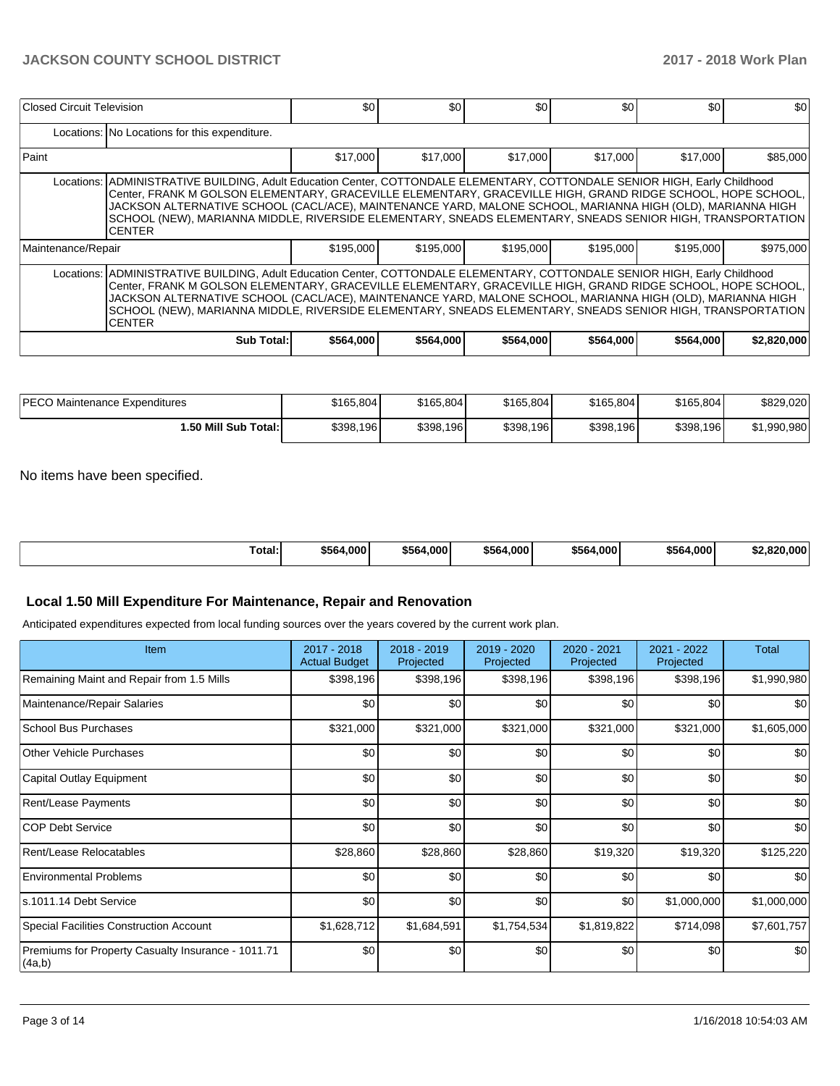### **JACKSON COUNTY SCHOOL DISTRICT 2017 - 2018 Work Plan**

| Closed Circuit Television                                                                                                                                                                                                                                                                                                                                                                                                                                                              |                                                                                                                                                                                                                                                                                                                                                                                                                                                                                        | \$0       | \$0       | \$0       | \$0       | \$0       | \$0         |  |  |  |  |  |
|----------------------------------------------------------------------------------------------------------------------------------------------------------------------------------------------------------------------------------------------------------------------------------------------------------------------------------------------------------------------------------------------------------------------------------------------------------------------------------------|----------------------------------------------------------------------------------------------------------------------------------------------------------------------------------------------------------------------------------------------------------------------------------------------------------------------------------------------------------------------------------------------------------------------------------------------------------------------------------------|-----------|-----------|-----------|-----------|-----------|-------------|--|--|--|--|--|
|                                                                                                                                                                                                                                                                                                                                                                                                                                                                                        | Locations: No Locations for this expenditure.                                                                                                                                                                                                                                                                                                                                                                                                                                          |           |           |           |           |           |             |  |  |  |  |  |
| Paint                                                                                                                                                                                                                                                                                                                                                                                                                                                                                  |                                                                                                                                                                                                                                                                                                                                                                                                                                                                                        | \$17,000  | \$17,000  | \$17,000  | \$17,000  | \$17,000  | \$85,000    |  |  |  |  |  |
|                                                                                                                                                                                                                                                                                                                                                                                                                                                                                        | Locations: ADMINISTRATIVE BUILDING, Adult Education Center, COTTONDALE ELEMENTARY, COTTONDALE SENIOR HIGH, Early Childhood<br>Center, FRANK M GOLSON ELEMENTARY, GRACEVILLE ELEMENTARY, GRACEVILLE HIGH, GRAND RIDGE SCHOOL, HOPE SCHOOL,<br>JACKSON ALTERNATIVE SCHOOL (CACL/ACE), MAINTENANCE YARD, MALONE SCHOOL, MARIANNA HIGH (OLD), MARIANNA HIGH<br>SCHOOL (NEW), MARIANNA MIDDLE, RIVERSIDE ELEMENTARY, SNEADS ELEMENTARY, SNEADS SENIOR HIGH, TRANSPORTATION<br><b>CENTER</b> |           |           |           |           |           |             |  |  |  |  |  |
| Maintenance/Repair                                                                                                                                                                                                                                                                                                                                                                                                                                                                     |                                                                                                                                                                                                                                                                                                                                                                                                                                                                                        | \$195,000 | \$195,000 | \$195,000 | \$195,000 | \$195,000 | \$975,000   |  |  |  |  |  |
| Locations: ADMINISTRATIVE BUILDING, Adult Education Center, COTTONDALE ELEMENTARY, COTTONDALE SENIOR HIGH, Early Childhood<br>Center, FRANK M GOLSON ELEMENTARY, GRACEVILLE ELEMENTARY, GRACEVILLE HIGH, GRAND RIDGE SCHOOL, HOPE SCHOOL,<br>JACKSON ALTERNATIVE SCHOOL (CACL/ACE), MAINTENANCE YARD, MALONE SCHOOL, MARIANNA HIGH (OLD), MARIANNA HIGH<br>SCHOOL (NEW), MARIANNA MIDDLE, RIVERSIDE ELEMENTARY, SNEADS ELEMENTARY, SNEADS SENIOR HIGH, TRANSPORTATION<br><b>CENTER</b> |                                                                                                                                                                                                                                                                                                                                                                                                                                                                                        |           |           |           |           |           |             |  |  |  |  |  |
|                                                                                                                                                                                                                                                                                                                                                                                                                                                                                        | <b>Sub Total:</b>                                                                                                                                                                                                                                                                                                                                                                                                                                                                      | \$564,000 | \$564,000 | \$564,000 | \$564,000 | \$564,000 | \$2,820,000 |  |  |  |  |  |

| <b>IPECO Maintenance Expenditures</b> | \$165,804 | \$165,804 | \$165,804 | \$165,804 | \$165,804 | \$829,020   |
|---------------------------------------|-----------|-----------|-----------|-----------|-----------|-------------|
| 1.50 Mill Sub Total:                  | \$398,196 | \$398,196 | \$398.196 | \$398,196 | \$398,196 | \$1.990.980 |

No items have been specified.

| Гotal: | \$564,000 | \$564<br>.0001 | \$564.000 | \$564,000 | \$564,000 | \$2,820,000 |
|--------|-----------|----------------|-----------|-----------|-----------|-------------|
|        |           |                |           |           |           |             |

### **Local 1.50 Mill Expenditure For Maintenance, Repair and Renovation**

Anticipated expenditures expected from local funding sources over the years covered by the current work plan.

| Item                                                          | 2017 - 2018<br><b>Actual Budget</b> | 2018 - 2019<br>Projected | 2019 - 2020<br>Projected | 2020 - 2021<br>Projected | 2021 - 2022<br>Projected | <b>Total</b> |
|---------------------------------------------------------------|-------------------------------------|--------------------------|--------------------------|--------------------------|--------------------------|--------------|
| Remaining Maint and Repair from 1.5 Mills                     | \$398,196                           | \$398,196                | \$398,196                | \$398,196                | \$398,196                | \$1,990,980  |
| Maintenance/Repair Salaries                                   | \$0                                 | \$0                      | \$0                      | \$0                      | \$0                      | \$0          |
| <b>School Bus Purchases</b>                                   | \$321,000                           | \$321,000                | \$321,000                | \$321,000                | \$321,000                | \$1,605,000  |
| Other Vehicle Purchases                                       | \$0                                 | \$0                      | \$0                      | \$0                      | \$0                      | \$0          |
| Capital Outlay Equipment                                      | \$0                                 | \$0                      | \$0                      | \$0                      | \$0                      | \$0          |
| Rent/Lease Payments                                           | \$0                                 | \$0                      | \$0                      | \$0                      | \$0                      | \$0          |
| <b>COP Debt Service</b>                                       | \$0                                 | \$0                      | \$0                      | \$0                      | \$0                      | \$0          |
| Rent/Lease Relocatables                                       | \$28,860                            | \$28,860                 | \$28,860                 | \$19,320                 | \$19,320                 | \$125,220    |
| <b>Environmental Problems</b>                                 | \$0                                 | \$0                      | \$0                      | \$0                      | \$0                      | \$0          |
| ls.1011.14 Debt Service                                       | \$0                                 | \$0                      | \$0                      | \$0                      | \$1,000,000              | \$1,000,000  |
| Special Facilities Construction Account                       | \$1,628,712                         | \$1,684,591              | \$1,754,534              | \$1,819,822              | \$714,098                | \$7,601,757  |
| Premiums for Property Casualty Insurance - 1011.71<br> (4a,b) | \$0                                 | \$0                      | \$0                      | \$0                      | \$0                      | \$0          |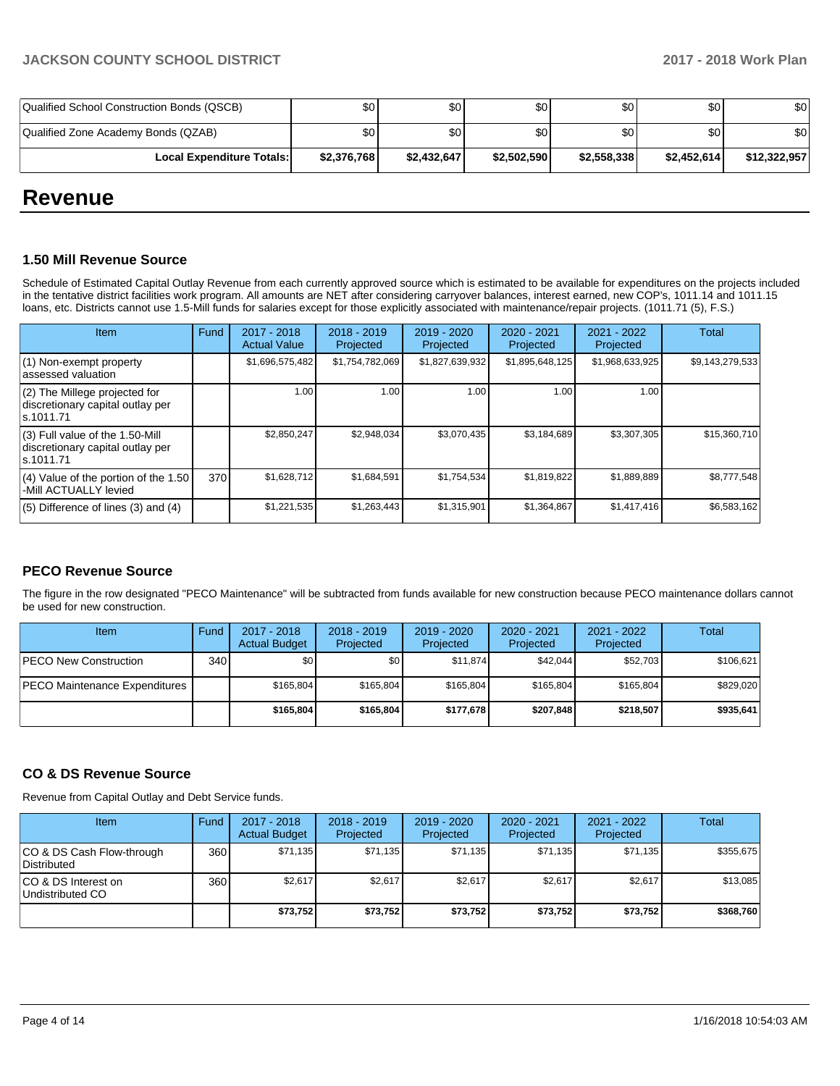| Qualified School Construction Bonds (QSCB) | \$0         | \$0         | \$0         | \$0 <sub>1</sub> | \$0         | \$0          |
|--------------------------------------------|-------------|-------------|-------------|------------------|-------------|--------------|
| Qualified Zone Academy Bonds (QZAB)        | \$0         | \$0         | \$0         | \$0 <sub>1</sub> | \$0         | \$0          |
| <b>Local Expenditure Totals:</b>           | \$2,376,768 | \$2,432,647 | \$2,502,590 | \$2,558,338      | \$2.452.614 | \$12,322,957 |

## **Revenue**

### **1.50 Mill Revenue Source**

Schedule of Estimated Capital Outlay Revenue from each currently approved source which is estimated to be available for expenditures on the projects included in the tentative district facilities work program. All amounts are NET after considering carryover balances, interest earned, new COP's, 1011.14 and 1011.15 loans, etc. Districts cannot use 1.5-Mill funds for salaries except for those explicitly associated with maintenance/repair projects. (1011.71 (5), F.S.)

| Item                                                                                | <b>Fund</b> | $2017 - 2018$<br><b>Actual Value</b> | $2018 - 2019$<br>Projected | 2019 - 2020<br>Projected | $2020 - 2021$<br>Projected | $2021 - 2022$<br>Projected | <b>Total</b>    |
|-------------------------------------------------------------------------------------|-------------|--------------------------------------|----------------------------|--------------------------|----------------------------|----------------------------|-----------------|
| $(1)$ Non-exempt property<br>lassessed valuation                                    |             | \$1,696,575,482                      | \$1,754,782,069            | \$1,827,639,932          | \$1,895,648,125            | \$1,968,633,925            | \$9,143,279,533 |
| (2) The Millege projected for<br>discretionary capital outlay per<br>ls.1011.71     |             | 1.00                                 | 1.00                       | 1.00                     | 1.00                       | 1.00                       |                 |
| $(3)$ Full value of the 1.50-Mill<br>discretionary capital outlay per<br>ls.1011.71 |             | \$2,850,247                          | \$2,948,034                | \$3.070.435              | \$3,184,689                | \$3,307,305                | \$15,360,710    |
| $(4)$ Value of the portion of the 1.50<br>-Mill ACTUALLY levied                     | 370         | \$1,628,712                          | \$1,684,591                | \$1,754,534              | \$1,819,822                | \$1,889,889                | \$8,777,548     |
| $(5)$ Difference of lines $(3)$ and $(4)$                                           |             | \$1,221,535                          | \$1,263,443                | \$1,315,901              | \$1,364,867                | \$1,417,416                | \$6,583,162     |

### **PECO Revenue Source**

The figure in the row designated "PECO Maintenance" will be subtracted from funds available for new construction because PECO maintenance dollars cannot be used for new construction.

| Item                          | Fund | $2017 - 2018$<br><b>Actual Budget</b> | $2018 - 2019$<br>Projected | $2019 - 2020$<br>Projected | $2020 - 2021$<br>Projected | $2021 - 2022$<br>Projected | Total     |
|-------------------------------|------|---------------------------------------|----------------------------|----------------------------|----------------------------|----------------------------|-----------|
| <b>PECO New Construction</b>  | 340  | \$0                                   | \$0                        | \$11.874                   | \$42.044                   | \$52.703                   | \$106.621 |
| PECO Maintenance Expenditures |      | \$165.804                             | \$165.804                  | \$165.804                  | \$165.804                  | \$165.804                  | \$829.020 |
|                               |      | \$165,804                             | \$165,804                  | \$177.678                  | \$207.848                  | \$218.507                  | \$935.641 |

### **CO & DS Revenue Source**

Revenue from Capital Outlay and Debt Service funds.

| ltem                                            | Fund  | $2017 - 2018$<br><b>Actual Budget</b> | $2018 - 2019$<br>Projected | 2019 - 2020<br>Projected | $2020 - 2021$<br>Projected | $2021 - 2022$<br>Projected | <b>Total</b> |
|-------------------------------------------------|-------|---------------------------------------|----------------------------|--------------------------|----------------------------|----------------------------|--------------|
| CO & DS Cash Flow-through<br><b>Distributed</b> | 360 l | \$71,135                              | \$71,135                   | \$71,135                 | \$71,135                   | \$71,135                   | \$355,675    |
| CO & DS Interest on<br>Undistributed CO         | 360   | \$2,617                               | \$2,617                    | \$2,617                  | \$2.617                    | \$2,617                    | \$13,085     |
|                                                 |       | \$73,752                              | \$73,752                   | \$73,752                 | \$73,752                   | \$73,752                   | \$368,760    |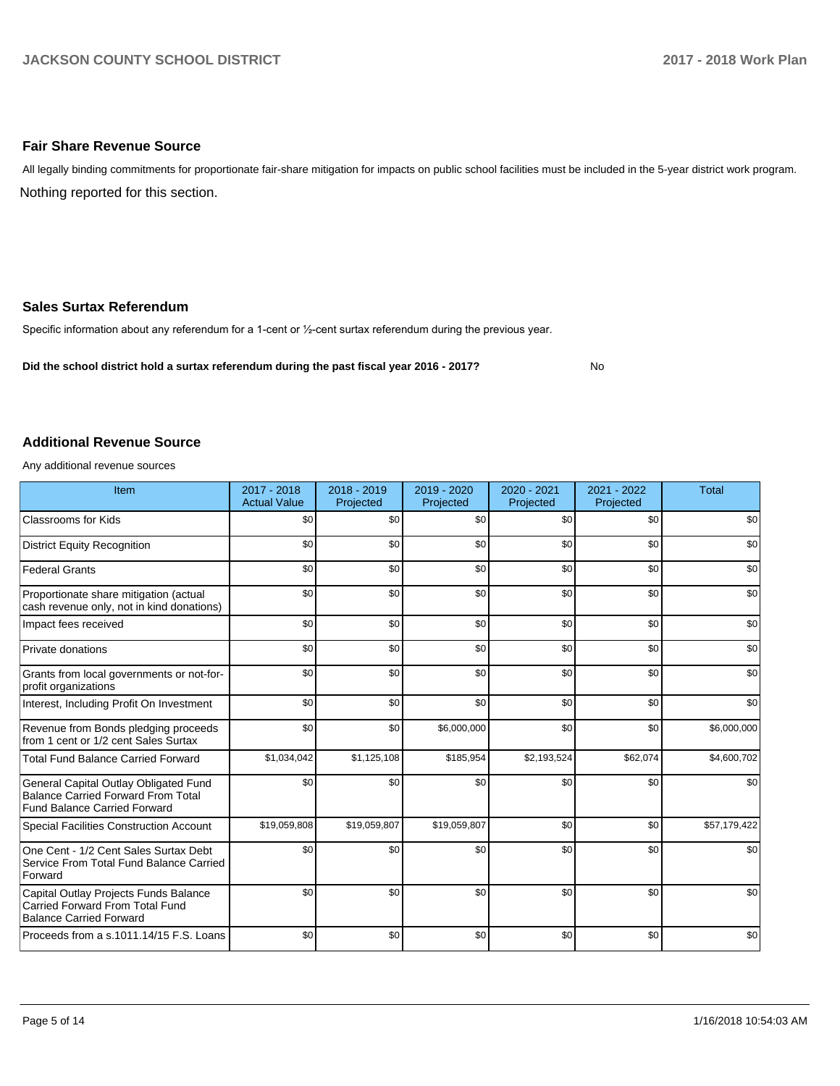### **Fair Share Revenue Source**

Nothing reported for this section. All legally binding commitments for proportionate fair-share mitigation for impacts on public school facilities must be included in the 5-year district work program.

### **Sales Surtax Referendum**

Specific information about any referendum for a 1-cent or 1/2-cent surtax referendum during the previous year.

**Did the school district hold a surtax referendum during the past fiscal year 2016 - 2017?**

No

### **Additional Revenue Source**

Any additional revenue sources

| Item                                                                                                                      | $2017 - 2018$<br><b>Actual Value</b> | 2018 - 2019<br>Projected | 2019 - 2020<br>Projected | 2020 - 2021<br>Projected | $2021 - 2022$<br>Projected | <b>Total</b> |
|---------------------------------------------------------------------------------------------------------------------------|--------------------------------------|--------------------------|--------------------------|--------------------------|----------------------------|--------------|
| Classrooms for Kids                                                                                                       | \$0                                  | \$0                      | \$0                      | \$0                      | \$0                        | \$0          |
| <b>District Equity Recognition</b>                                                                                        | \$0                                  | \$0                      | \$0                      | \$0                      | \$0                        | \$0          |
| <b>Federal Grants</b>                                                                                                     | \$0                                  | \$0                      | \$0                      | \$0                      | \$0                        | \$0          |
| Proportionate share mitigation (actual<br>cash revenue only, not in kind donations)                                       | \$0                                  | \$0                      | \$0                      | \$0                      | \$0                        | \$0          |
| Impact fees received                                                                                                      | \$0                                  | \$0                      | \$0                      | \$0                      | \$0                        | \$0          |
| Private donations                                                                                                         | \$0                                  | \$0                      | \$0                      | \$0                      | \$0                        | \$0          |
| Grants from local governments or not-for-<br>profit organizations                                                         | \$0                                  | \$0                      | \$0                      | \$0                      | \$0                        | \$0          |
| Interest, Including Profit On Investment                                                                                  | \$0                                  | \$0                      | \$0                      | \$0                      | \$0                        | \$0          |
| Revenue from Bonds pledging proceeds<br>from 1 cent or 1/2 cent Sales Surtax                                              | \$0                                  | \$0                      | \$6,000,000              | \$0                      | \$0                        | \$6,000,000  |
| <b>Total Fund Balance Carried Forward</b>                                                                                 | \$1,034,042                          | \$1,125,108              | \$185,954                | \$2,193,524              | \$62,074                   | \$4,600,702  |
| General Capital Outlay Obligated Fund<br><b>Balance Carried Forward From Total</b><br><b>Fund Balance Carried Forward</b> | \$0                                  | \$0                      | \$0                      | \$0                      | \$0                        | \$0          |
| Special Facilities Construction Account                                                                                   | \$19,059,808                         | \$19,059,807             | \$19,059,807             | \$0                      | \$0                        | \$57,179,422 |
| One Cent - 1/2 Cent Sales Surtax Debt<br>Service From Total Fund Balance Carried<br>Forward                               | \$0                                  | \$0                      | \$0                      | \$0                      | \$0                        | \$0          |
| Capital Outlay Projects Funds Balance<br>Carried Forward From Total Fund<br><b>Balance Carried Forward</b>                | \$0                                  | \$0                      | \$0                      | \$0                      | \$0                        | \$0          |
| Proceeds from a s.1011.14/15 F.S. Loans                                                                                   | \$0                                  | \$0                      | \$0                      | \$0                      | \$0                        | \$0          |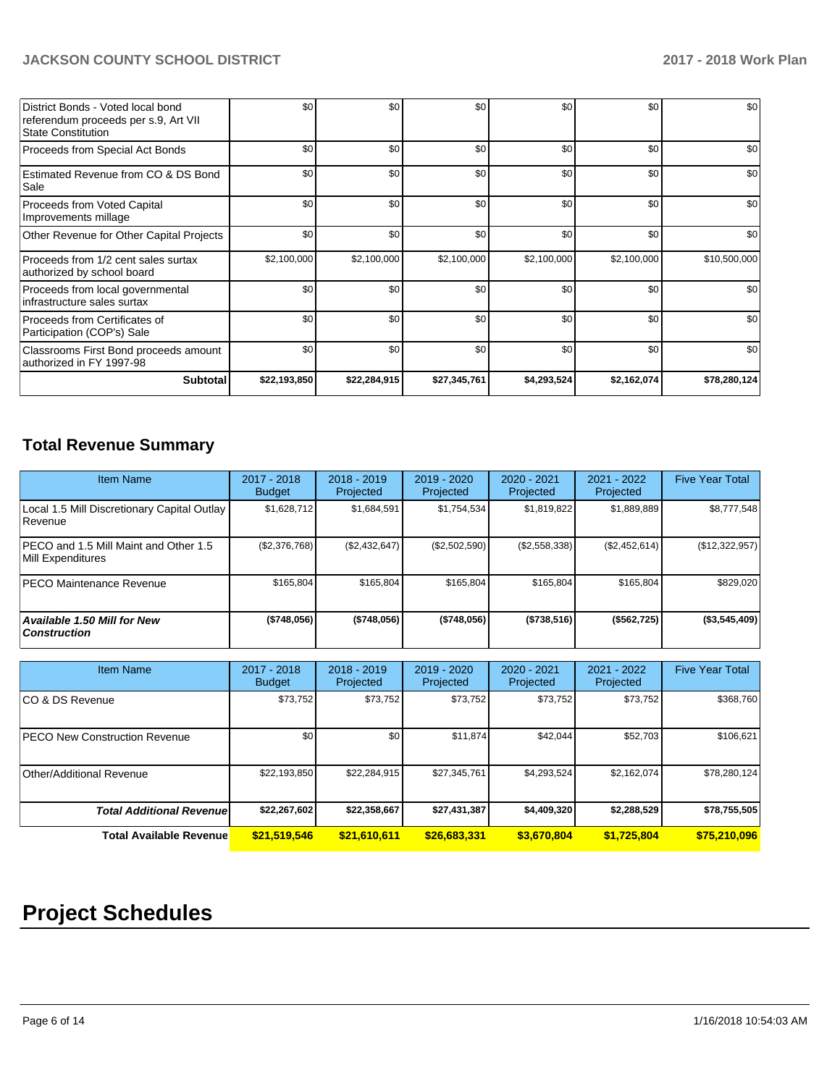### **JACKSON COUNTY SCHOOL DISTRICT 2017 - 2018 Work Plan**

| District Bonds - Voted local bond<br>referendum proceeds per s.9, Art VII<br><b>State Constitution</b> | \$0          | \$0          | \$0          | \$0         | \$0         | \$0          |
|--------------------------------------------------------------------------------------------------------|--------------|--------------|--------------|-------------|-------------|--------------|
| Proceeds from Special Act Bonds                                                                        | \$0          | \$0          | \$0          | \$0         | \$0         | \$0          |
| Estimated Revenue from CO & DS Bond<br>Sale                                                            | \$0          | \$0          | \$0          | \$0         | \$0         | \$0          |
| Proceeds from Voted Capital<br>Improvements millage                                                    | \$0          | \$0          | \$0          | \$0         | \$0         | \$0          |
| Other Revenue for Other Capital Projects                                                               | \$0          | \$0          | \$0          | \$0         | \$0         | \$0          |
| Proceeds from 1/2 cent sales surtax<br>authorized by school board                                      | \$2,100,000  | \$2,100,000  | \$2,100,000  | \$2,100,000 | \$2,100,000 | \$10,500,000 |
| Proceeds from local governmental<br>infrastructure sales surtax                                        | \$0          | \$0          | \$0          | \$0         | \$0         | \$0          |
| Proceeds from Certificates of<br>Participation (COP's) Sale                                            | \$0          | \$0          | \$0          | \$0         | \$0         | \$0          |
| Classrooms First Bond proceeds amount<br>authorized in FY 1997-98                                      | \$0          | \$0          | \$0          | \$0         | \$0         | \$0          |
| Subtotal                                                                                               | \$22,193,850 | \$22,284,915 | \$27,345,761 | \$4,293,524 | \$2,162,074 | \$78,280,124 |

## **Total Revenue Summary**

| <b>Item Name</b>                                              | $2017 - 2018$<br><b>Budget</b> | $2018 - 2019$<br>Projected | $2019 - 2020$<br>Projected | $2020 - 2021$<br>Projected | 2021 - 2022<br>Projected | <b>Five Year Total</b> |
|---------------------------------------------------------------|--------------------------------|----------------------------|----------------------------|----------------------------|--------------------------|------------------------|
| Local 1.5 Mill Discretionary Capital Outlay<br><b>Revenue</b> | \$1.628.712                    | \$1,684,591                | \$1,754,534                | \$1,819,822                | \$1,889,889              | \$8,777,548            |
| PECO and 1.5 Mill Maint and Other 1.5<br>Mill Expenditures    | (\$2,376,768)                  | (\$2,432,647)              | (\$2,502,590)              | (\$2,558,338)              | (\$2,452,614)            | (\$12,322,957)         |
| IPECO Maintenance Revenue                                     | \$165.804                      | \$165.804                  | \$165,804                  | \$165.804                  | \$165.804                | \$829,020              |
| Available 1.50 Mill for New<br>  Construction                 | ( \$748,056)                   | (\$748,056)                | (\$748,056)                | (\$738,516)                | (\$562,725)              | (\$3,545,409)          |

| <b>Item Name</b>                     | $2017 - 2018$<br><b>Budget</b> | $2018 - 2019$<br>Projected | 2019 - 2020<br>Projected | $2020 - 2021$<br>Projected | $2021 - 2022$<br>Projected | <b>Five Year Total</b> |
|--------------------------------------|--------------------------------|----------------------------|--------------------------|----------------------------|----------------------------|------------------------|
| ICO & DS Revenue                     | \$73,752                       | \$73,752                   | \$73,752                 | \$73,752                   | \$73,752                   | \$368,760              |
| <b>PECO New Construction Revenue</b> | \$0                            | \$0                        | \$11,874                 | \$42,044                   | \$52,703                   | \$106,621              |
| Other/Additional Revenue             | \$22,193,850                   | \$22,284,915               | \$27,345,761             | \$4,293,524                | \$2,162,074                | \$78,280,124           |
| <b>Total Additional Revenuel</b>     | \$22,267,602                   | \$22,358,667               | \$27,431,387             | \$4,409,320                | \$2,288,529                | \$78,755,505           |
| <b>Total Available Revenue</b>       | \$21,519,546                   | \$21,610,611               | \$26,683,331             | \$3,670,804                | \$1,725,804                | \$75,210,096           |

# **Project Schedules**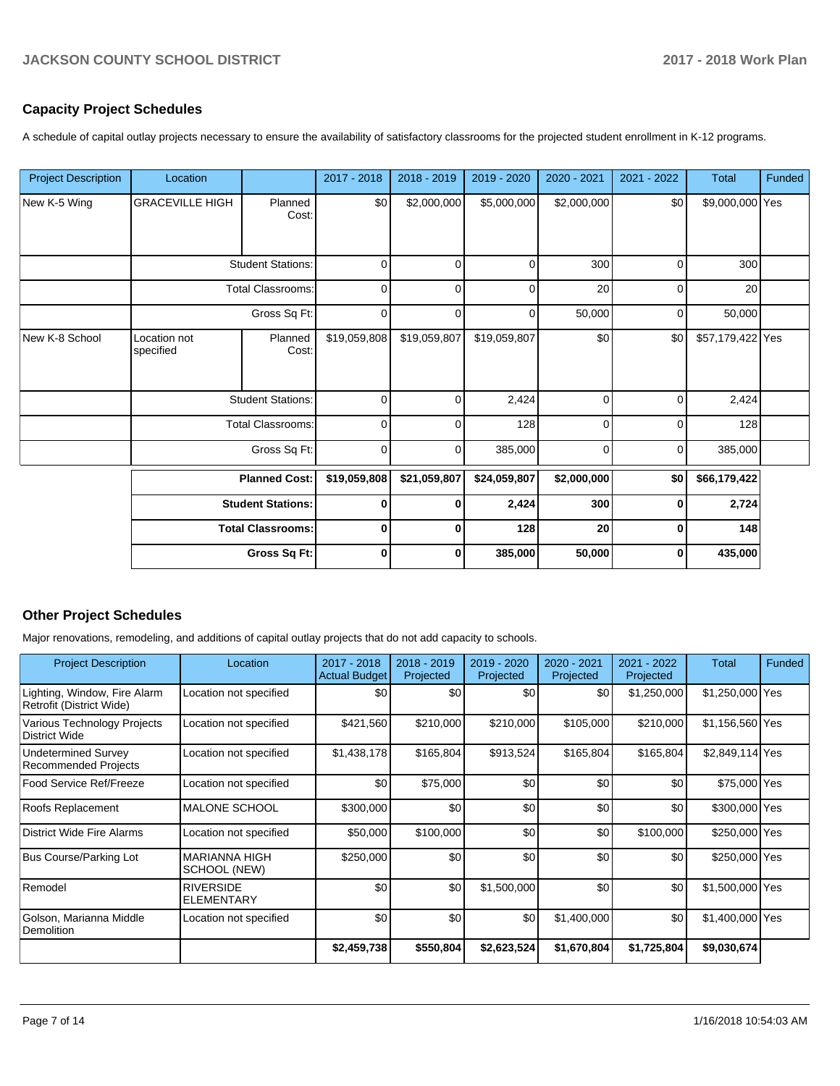### **Capacity Project Schedules**

A schedule of capital outlay projects necessary to ensure the availability of satisfactory classrooms for the projected student enrollment in K-12 programs.

| <b>Project Description</b> | Location                                             |                          | 2017 - 2018  | 2018 - 2019  | 2019 - 2020  | 2020 - 2021 | 2021 - 2022 | <b>Total</b>     | Funded |
|----------------------------|------------------------------------------------------|--------------------------|--------------|--------------|--------------|-------------|-------------|------------------|--------|
| New K-5 Wing               | <b>GRACEVILLE HIGH</b>                               | Planned<br>Cost:         | \$0          | \$2,000,000  | \$5,000,000  | \$2,000,000 | \$0         | \$9,000,000 Yes  |        |
|                            |                                                      | <b>Student Stations:</b> | $\mathbf 0$  | $\mathbf 0$  | $\mathbf 0$  | 300         | 0           | 300              |        |
|                            |                                                      | <b>Total Classrooms:</b> | 0            | 0            | $\mathbf 0$  | 20          | $\mathbf 0$ | 20               |        |
|                            |                                                      | $\mathbf 0$              | 0            | $\mathbf 0$  | 50,000       | $\mathbf 0$ | 50,000      |                  |        |
| New K-8 School             | Location not<br>specified                            | Planned<br>Cost:         | \$19,059,808 | \$19,059,807 | \$19,059,807 | \$0         | \$0         | \$57,179,422 Yes |        |
|                            |                                                      | <b>Student Stations:</b> | 0            | 0            | 2,424        | $\Omega$    | $\mathbf 0$ | 2,424            |        |
|                            |                                                      | <b>Total Classrooms:</b> | $\mathbf 0$  | 0            | 128          | $\Omega$    | 0           | 128              |        |
|                            |                                                      | Gross Sq Ft:             | 0            | 0            | 385,000      | $\Omega$    | $\Omega$    | 385,000          |        |
|                            |                                                      | <b>Planned Cost:</b>     | \$19,059,808 | \$21,059,807 | \$24,059,807 | \$2,000,000 | \$0         | \$66,179,422     |        |
|                            | <b>Student Stations:</b><br><b>Total Classrooms:</b> |                          | 0            | 0            | 2,424        | 300         | $\bf{0}$    | 2,724            |        |
|                            |                                                      |                          | 0            | 0            | 128          | 20          | $\mathbf 0$ | 148              |        |
|                            |                                                      | Gross Sq Ft:             | $\bf{0}$     | 0            | 385,000      | 50,000      | $\bf{0}$    | 435,000          |        |

### **Other Project Schedules**

Major renovations, remodeling, and additions of capital outlay projects that do not add capacity to schools.

| <b>Project Description</b>                               | Location                              | 2017 - 2018<br><b>Actual Budget</b> | 2018 - 2019<br>Projected | 2019 - 2020<br>Projected | 2020 - 2021<br>Projected | 2021 - 2022<br>Projected | Total           | Funded |
|----------------------------------------------------------|---------------------------------------|-------------------------------------|--------------------------|--------------------------|--------------------------|--------------------------|-----------------|--------|
| Lighting, Window, Fire Alarm<br>Retrofit (District Wide) | Location not specified                | \$0                                 | \$0                      | \$0                      | \$0                      | \$1,250,000              | \$1,250,000 Yes |        |
| Various Technology Projects<br><b>District Wide</b>      | Location not specified                | \$421,560                           | \$210,000                | \$210,000                | \$105,000                | \$210,000                | \$1,156,560 Yes |        |
| Undetermined Survey<br><b>Recommended Projects</b>       | Location not specified                | \$1,438,178                         | \$165,804                | \$913,524                | \$165,804                | \$165,804                | \$2,849,114 Yes |        |
| Food Service Ref/Freeze                                  | Location not specified                | \$0                                 | \$75,000                 | \$0                      | \$0                      | \$0                      | \$75,000 Yes    |        |
| Roofs Replacement                                        | <b>MALONE SCHOOL</b>                  | \$300,000                           | \$0                      | \$0                      | \$0                      | \$0                      | \$300,000 Yes   |        |
| District Wide Fire Alarms                                | Location not specified                | \$50,000                            | \$100,000                | \$0                      | \$0                      | \$100,000                | \$250,000 Yes   |        |
| Bus Course/Parking Lot                                   | <b>MARIANNA HIGH</b><br>SCHOOL (NEW)  | \$250,000                           | \$0                      | \$0                      | \$0                      | \$0                      | \$250,000 Yes   |        |
| Remodel                                                  | <b>RIVERSIDE</b><br><b>ELEMENTARY</b> | \$0                                 | \$0                      | \$1,500,000              | \$0                      | \$0                      | \$1,500,000 Yes |        |
| Golson, Marianna Middle<br>Demolition                    | Location not specified                | \$0                                 | \$0                      | \$0                      | \$1,400,000              | \$0                      | \$1,400,000 Yes |        |
|                                                          |                                       | \$2,459,738                         | \$550,804                | \$2,623,524              | \$1,670,804              | \$1,725,804              | \$9,030,674     |        |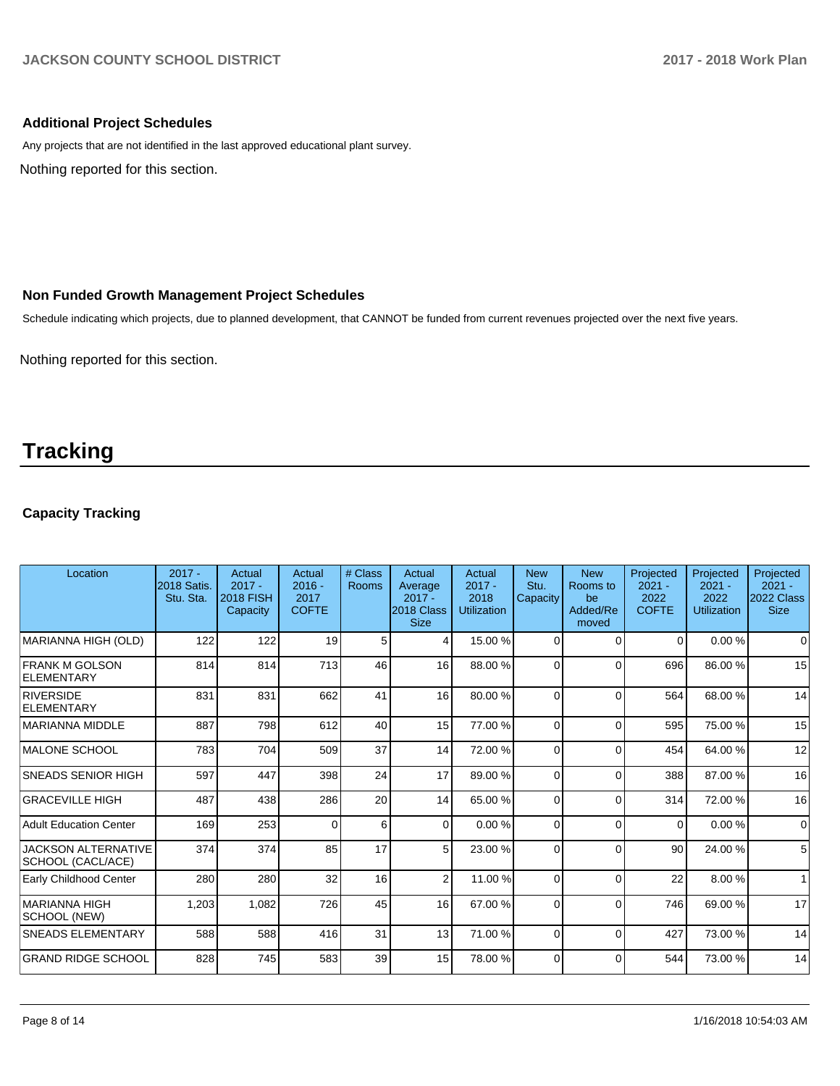### **Additional Project Schedules**

Nothing reported for this section. Any projects that are not identified in the last approved educational plant survey.

### **Non Funded Growth Management Project Schedules**

Schedule indicating which projects, due to planned development, that CANNOT be funded from current revenues projected over the next five years.

Nothing reported for this section.

## **Tracking**

### **Capacity Tracking**

| Location                                        | $2017 -$<br>2018 Satis.<br>Stu. Sta. | Actual<br>$2017 -$<br><b>2018 FISH</b><br>Capacity | Actual<br>$2016 -$<br>2017<br><b>COFTE</b> | # Class<br>Rooms | Actual<br>Average<br>$2017 -$<br>2018 Class<br><b>Size</b> | Actual<br>$2017 -$<br>2018<br><b>Utilization</b> | <b>New</b><br>Stu.<br>Capacity | <b>New</b><br>Rooms to<br>be<br>Added/Re<br>moved | Projected<br>$2021 -$<br>2022<br><b>COFTE</b> | Projected<br>$2021 -$<br>2022<br><b>Utilization</b> | Projected<br>$2021 -$<br>2022 Class<br><b>Size</b> |
|-------------------------------------------------|--------------------------------------|----------------------------------------------------|--------------------------------------------|------------------|------------------------------------------------------------|--------------------------------------------------|--------------------------------|---------------------------------------------------|-----------------------------------------------|-----------------------------------------------------|----------------------------------------------------|
| MARIANNA HIGH (OLD)                             | 122                                  | 122                                                | 19                                         | 5                | 4                                                          | 15.00 %                                          | $\Omega$                       | $\Omega$                                          | $\Omega$                                      | 0.00%                                               | $\Omega$                                           |
| FRANK M GOLSON<br>ELEMENTARY                    | 814                                  | 814                                                | 713                                        | 46               | 16                                                         | 88.00 %                                          | 0                              | $\Omega$                                          | 696                                           | 86.00 %                                             | 15                                                 |
| <b>RIVERSIDE</b><br><b>ELEMENTARY</b>           | 831                                  | 831                                                | 662                                        | 41               | 16                                                         | 80.00 %                                          | $\Omega$                       | $\Omega$                                          | 564                                           | 68.00 %                                             | 14                                                 |
| MARIANNA MIDDLE                                 | 887                                  | 798                                                | 612                                        | 40               | 15                                                         | 77.00 %                                          | $\Omega$                       | $\Omega$                                          | 595                                           | 75.00 %                                             | 15                                                 |
| MALONE SCHOOL                                   | 783                                  | 704                                                | 509                                        | 37               | 14                                                         | 72.00 %                                          | $\Omega$                       | $\Omega$                                          | 454                                           | 64.00%                                              | 12                                                 |
| <b>SNEADS SENIOR HIGH</b>                       | 597                                  | 447                                                | 398                                        | 24               | 17                                                         | 89.00 %                                          | $\Omega$                       | $\Omega$                                          | 388                                           | 87.00 %                                             | 16                                                 |
| GRACEVILLE HIGH                                 | 487                                  | 438                                                | 286                                        | 20               | 14                                                         | 65.00 %                                          | $\Omega$                       | $\Omega$                                          | 314                                           | 72.00 %                                             | 16                                                 |
| Adult Education Center                          | 169                                  | 253                                                | $\Omega$                                   | 6                | $\Omega$                                                   | 0.00%                                            | $\Omega$                       | $\Omega$                                          | $\Omega$                                      | 0.00 %                                              | $\mathbf 0$                                        |
| <b>JACKSON ALTERNATIVE</b><br>SCHOOL (CACL/ACE) | 374                                  | 374                                                | 85                                         | 17               | 5 <sup>1</sup>                                             | 23.00 %                                          | $\Omega$                       | $\Omega$                                          | 90                                            | 24.00 %                                             | 5                                                  |
| Early Childhood Center                          | 280                                  | 280                                                | 32                                         | 16               | $\overline{2}$                                             | 11.00 %                                          | $\Omega$                       | $\Omega$                                          | 22                                            | 8.00 %                                              | $\mathbf{1}$                                       |
| <b>MARIANNA HIGH</b><br>SCHOOL (NEW)            | 1,203                                | 1,082                                              | 726                                        | 45               | 16                                                         | 67.00 %                                          | $\Omega$                       | $\Omega$                                          | 746                                           | 69.00 %                                             | 17                                                 |
| <b>SNEADS ELEMENTARY</b>                        | 588                                  | 588                                                | 416                                        | 31               | 13                                                         | 71.00 %                                          | $\Omega$                       | $\Omega$                                          | 427                                           | 73.00 %                                             | 14                                                 |
| <b>GRAND RIDGE SCHOOL</b>                       | 828                                  | 745                                                | 583                                        | 39               | 15 <sup>1</sup>                                            | 78.00 %                                          | $\Omega$                       | $\Omega$                                          | 544                                           | 73.00 %                                             | 14                                                 |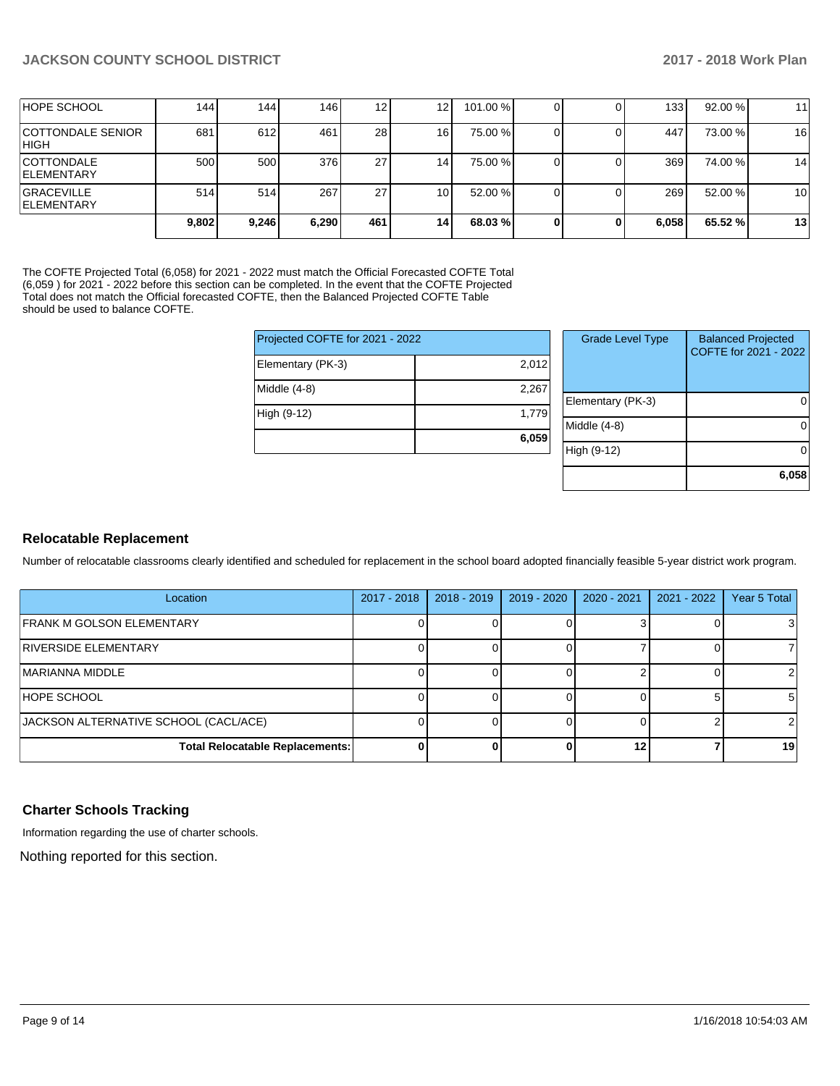| <b>HOPE SCHOOL</b>                      | 144   | 144   | 1461  | 12 <sub>1</sub> | 12 <sub>1</sub> | 101.00 % |  | 133 <sup>1</sup> | 92.00%  | 11 |
|-----------------------------------------|-------|-------|-------|-----------------|-----------------|----------|--|------------------|---------|----|
| <b>COTTONDALE SENIOR</b><br> HIGH       | 681   | 612   | 461   | 28              | 161             | 75.00 %  |  | 447              | 73.00 % | 16 |
| <b>COTTONDALE</b><br><b>IELEMENTARY</b> | 500   | 500   | 376   | 27              | 14              | 75.00 %  |  | 369              | 74.00 % | 14 |
| <b>GRACEVILLE</b><br><b>IELEMENTARY</b> | 514   | 514   | 267   | 27              | 10              | 52.00 %  |  | 269              | 52.00 % | 10 |
|                                         | 9,802 | 9,246 | 6,290 | 461             | 14              | 68.03 %  |  | 6,058            | 65.52 % | 13 |

The COFTE Projected Total (6,058) for 2021 - 2022 must match the Official Forecasted COFTE Total (6,059 ) for 2021 - 2022 before this section can be completed. In the event that the COFTE Projected Total does not match the Official forecasted COFTE, then the Balanced Projected COFTE Table should be used to balance COFTE.

| 2,012 |
|-------|
| 2,267 |
| 1,779 |
| 6,059 |
|       |

| <b>Grade Level Type</b> | <b>Balanced Projected</b><br>COFTE for 2021 - 2022 |
|-------------------------|----------------------------------------------------|
| Elementary (PK-3)       |                                                    |
| Middle (4-8)            |                                                    |
| High (9-12)             |                                                    |
|                         | 6,058                                              |

### **Relocatable Replacement**

Number of relocatable classrooms clearly identified and scheduled for replacement in the school board adopted financially feasible 5-year district work program.

| Location                               | $2017 - 2018$ | $2018 - 2019$ | 2019 - 2020 | $2020 - 2021$ | $2021 - 2022$ | Year 5 Total |
|----------------------------------------|---------------|---------------|-------------|---------------|---------------|--------------|
| <b>IFRANK M GOLSON ELEMENTARY</b>      |               |               |             |               |               |              |
| <b>RIVERSIDE ELEMENTARY</b>            |               |               |             |               |               |              |
| IMARIANNA MIDDLE                       |               |               |             |               |               |              |
| <b>HOPE SCHOOL</b>                     |               |               |             |               |               |              |
| JACKSON ALTERNATIVE SCHOOL (CACL/ACE)  |               |               |             |               |               |              |
| <b>Total Relocatable Replacements:</b> |               |               |             | 12            |               | 19           |

### **Charter Schools Tracking**

Information regarding the use of charter schools.

Nothing reported for this section.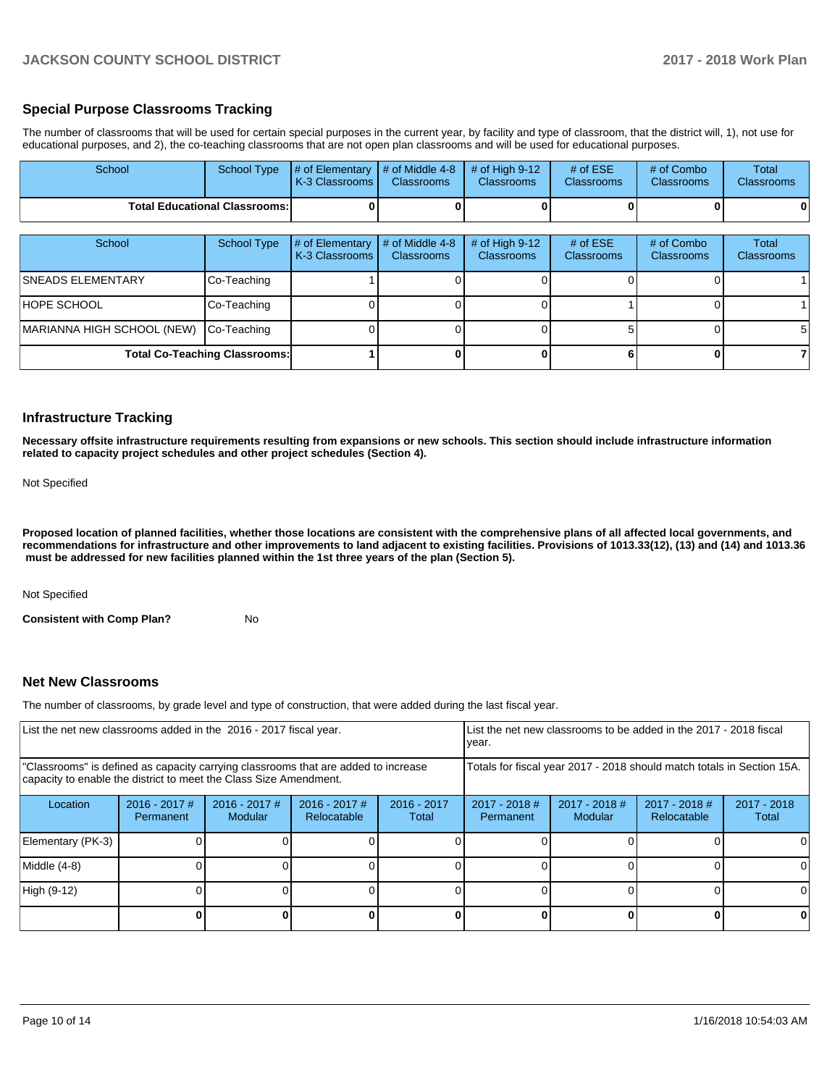### **Special Purpose Classrooms Tracking**

The number of classrooms that will be used for certain special purposes in the current year, by facility and type of classroom, that the district will, 1), not use for educational purposes, and 2), the co-teaching classrooms that are not open plan classrooms and will be used for educational purposes.

| School                     | <b>School Type</b>                   | # of Elementary<br>K-3 Classrooms | # of Middle 4-8<br><b>Classrooms</b> | # of High $9-12$<br><b>Classrooms</b> | # of $ESE$<br>Classrooms        | # of Combo<br><b>Classrooms</b> | Total<br><b>Classrooms</b> |
|----------------------------|--------------------------------------|-----------------------------------|--------------------------------------|---------------------------------------|---------------------------------|---------------------------------|----------------------------|
|                            | <b>Total Educational Classrooms:</b> |                                   |                                      |                                       |                                 |                                 | 0                          |
| School                     | <b>School Type</b>                   | # of Elementary<br>K-3 Classrooms | # of Middle 4-8<br><b>Classrooms</b> | # of High 9-12<br><b>Classrooms</b>   | # of $ESE$<br><b>Classrooms</b> | # of Combo<br><b>Classrooms</b> | Total<br><b>Classrooms</b> |
| <b>SNEADS ELEMENTARY</b>   | Co-Teaching                          |                                   |                                      |                                       |                                 |                                 |                            |
| HOPE SCHOOL                | Co-Teaching                          |                                   |                                      |                                       |                                 |                                 |                            |
| MARIANNA HIGH SCHOOL (NEW) | Co-Teaching                          |                                   |                                      |                                       |                                 |                                 | 5                          |
|                            | <b>Total Co-Teaching Classrooms:</b> |                                   |                                      |                                       |                                 |                                 |                            |

### **Infrastructure Tracking**

**Necessary offsite infrastructure requirements resulting from expansions or new schools. This section should include infrastructure information related to capacity project schedules and other project schedules (Section 4).** 

Not Specified

**Proposed location of planned facilities, whether those locations are consistent with the comprehensive plans of all affected local governments, and recommendations for infrastructure and other improvements to land adjacent to existing facilities. Provisions of 1013.33(12), (13) and (14) and 1013.36 must be addressed for new facilities planned within the 1st three years of the plan (Section 5).** 

Not Specified

**Consistent with Comp Plan?** No

### **Net New Classrooms**

The number of classrooms, by grade level and type of construction, that were added during the last fiscal year.

| List the net new classrooms added in the 2016 - 2017 fiscal year.                                                                                       |                                                                        |                                   |                                |                        | List the net new classrooms to be added in the 2017 - 2018 fiscal<br>year. |                                   |                                |                        |  |  |
|---------------------------------------------------------------------------------------------------------------------------------------------------------|------------------------------------------------------------------------|-----------------------------------|--------------------------------|------------------------|----------------------------------------------------------------------------|-----------------------------------|--------------------------------|------------------------|--|--|
| "Classrooms" is defined as capacity carrying classrooms that are added to increase<br>capacity to enable the district to meet the Class Size Amendment. | Totals for fiscal year 2017 - 2018 should match totals in Section 15A. |                                   |                                |                        |                                                                            |                                   |                                |                        |  |  |
| Location                                                                                                                                                | $2016 - 2017$ #<br>Permanent                                           | $2016 - 2017$ #<br><b>Modular</b> | $2016 - 2017$ #<br>Relocatable | $2016 - 2017$<br>Total | $2017 - 2018$ #<br>Permanent                                               | $2017 - 2018$ #<br><b>Modular</b> | $2017 - 2018$ #<br>Relocatable | $2017 - 2018$<br>Total |  |  |
| Elementary (PK-3)                                                                                                                                       |                                                                        |                                   |                                |                        |                                                                            |                                   |                                |                        |  |  |
| Middle (4-8)                                                                                                                                            |                                                                        |                                   |                                |                        |                                                                            |                                   |                                | <sup>0</sup>           |  |  |
| High (9-12)                                                                                                                                             |                                                                        |                                   |                                |                        |                                                                            |                                   |                                |                        |  |  |
|                                                                                                                                                         |                                                                        |                                   |                                |                        |                                                                            |                                   | ŋ                              | 0                      |  |  |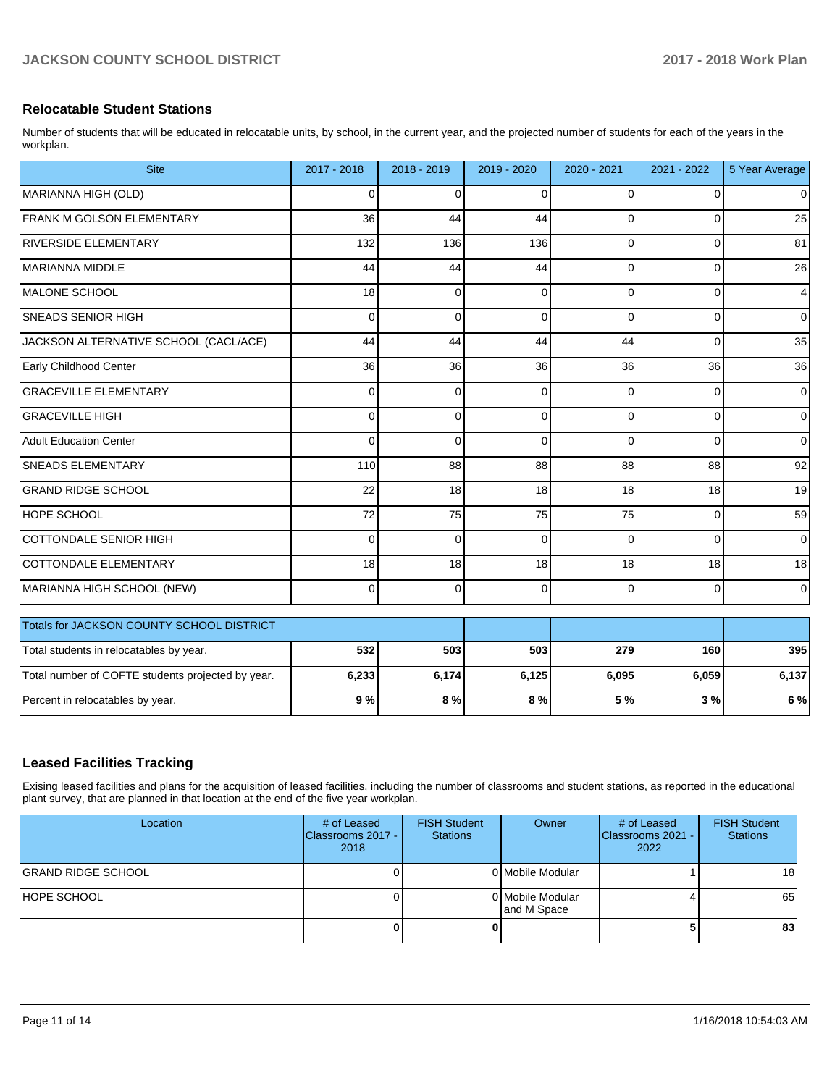### **Relocatable Student Stations**

Number of students that will be educated in relocatable units, by school, in the current year, and the projected number of students for each of the years in the workplan.

| <b>Site</b>                                       | 2017 - 2018 | $2018 - 2019$ | 2019 - 2020 | 2020 - 2021    | 2021 - 2022    | 5 Year Average |
|---------------------------------------------------|-------------|---------------|-------------|----------------|----------------|----------------|
| MARIANNA HIGH (OLD)                               | 0           | $\Omega$      | 0           | 0              | $\Omega$       | $\overline{0}$ |
| <b>FRANK M GOLSON ELEMENTARY</b>                  | 36          | 44            | 44          | 0              | 0              | 25             |
| RIVERSIDE ELEMENTARY                              | 132         | 136           | 136         | $\Omega$       | $\Omega$       | 81             |
| MARIANNA MIDDLE                                   | 44          | 44            | 44          | $\Omega$       | $\Omega$       | 26             |
| MALONE SCHOOL                                     | 18          | $\mathbf 0$   | $\Omega$    | $\Omega$       | 0              | $\overline{4}$ |
| <b>SNEADS SENIOR HIGH</b>                         | 0           | 0             | 0           | $\Omega$       | $\mathbf 0$    | $\overline{0}$ |
| JACKSON ALTERNATIVE SCHOOL (CACL/ACE)             | 44          | 44            | 44          | 44             | $\mathbf 0$    | 35             |
| Early Childhood Center                            | 36          | 36            | 36          | 36             | 36             | 36             |
| <b>GRACEVILLE ELEMENTARY</b>                      | 0           | $\Omega$      | 0           | $\Omega$       | 0              | $\overline{0}$ |
| <b>GRACEVILLE HIGH</b>                            | 0           | $\Omega$      | $\Omega$    | $\Omega$       | $\Omega$       | $\overline{0}$ |
| Adult Education Center                            | 0           | $\mathbf 0$   | 0           | $\overline{0}$ | $\mathbf 0$    | $\overline{0}$ |
| <b>SNEADS ELEMENTARY</b>                          | 110         | 88            | 88          | 88             | 88             | 92             |
| <b>GRAND RIDGE SCHOOL</b>                         | 22          | 18            | 18          | 18             | 18             | 19             |
| <b>HOPE SCHOOL</b>                                | 72          | 75            | 75          | 75             | $\Omega$       | 59             |
| COTTONDALE SENIOR HIGH                            | $\Omega$    | $\mathbf 0$   | $\Omega$    | $\Omega$       | $\Omega$       | $\overline{0}$ |
| COTTONDALE ELEMENTARY                             | 18          | 18            | 18          | 18             | 18             | 18             |
| MARIANNA HIGH SCHOOL (NEW)                        | $\Omega$    | 0             | $\Omega$    | $\Omega$       | $\overline{0}$ | $\overline{0}$ |
| Totals for JACKSON COUNTY SCHOOL DISTRICT         |             |               |             |                |                |                |
| Total students in relocatables by year.           | 532         | 503           | 503         | 279            | 160            | 395            |
| Total number of COFTE students projected by year. | 6,233       | 6,174         | 6,125       | 6,095          | 6,059          | 6,137          |

### **Leased Facilities Tracking**

Exising leased facilities and plans for the acquisition of leased facilities, including the number of classrooms and student stations, as reported in the educational plant survey, that are planned in that location at the end of the five year workplan.

Percent in relocatables by year. **9 % 8 % 8 % 5 % 3 % 6 %**

| Location                  | # of Leased<br>Classrooms 2017 -<br>2018 | <b>FISH Student</b><br><b>Stations</b> | Owner                           | # of Leased<br>Classrooms 2021 -<br>2022 | <b>FISH Student</b><br><b>Stations</b> |
|---------------------------|------------------------------------------|----------------------------------------|---------------------------------|------------------------------------------|----------------------------------------|
| <b>GRAND RIDGE SCHOOL</b> |                                          |                                        | 0 Mobile Modular                |                                          | 18 l                                   |
| HOPE SCHOOL               |                                          |                                        | 0 Mobile Modular<br>and M Space |                                          | 65                                     |
|                           |                                          | o                                      |                                 |                                          | 83                                     |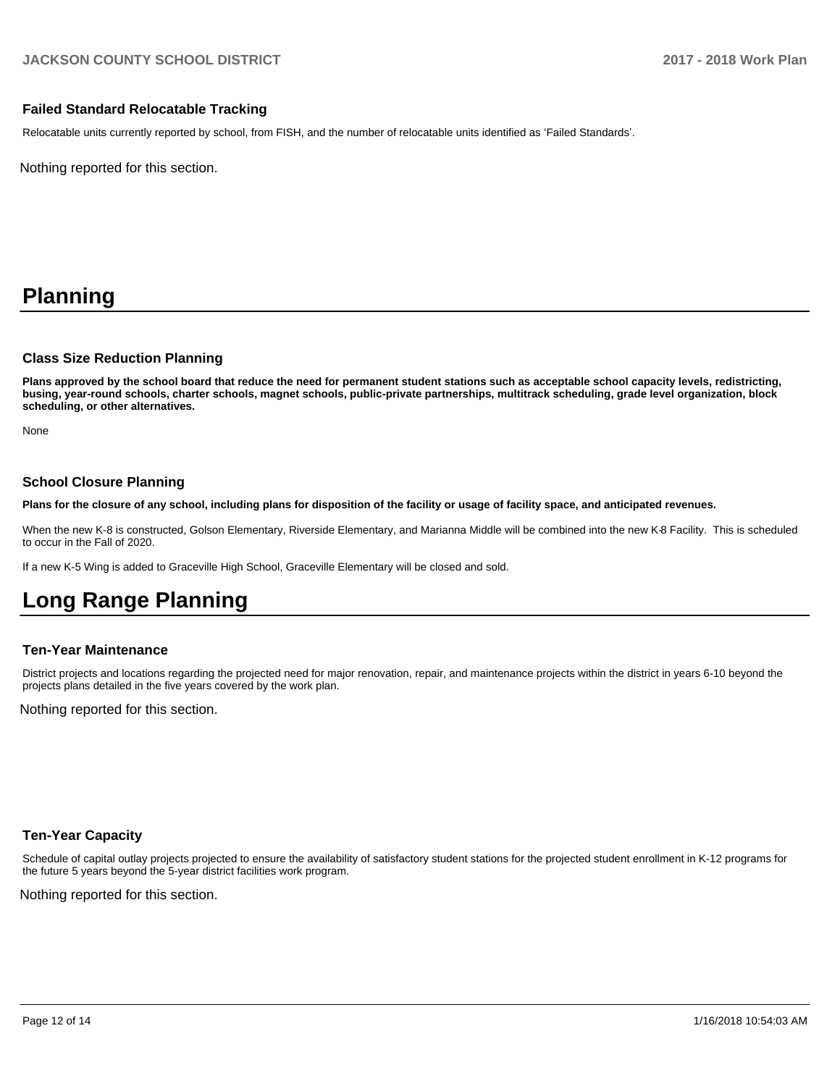### **Failed Standard Relocatable Tracking**

Relocatable units currently reported by school, from FISH, and the number of relocatable units identified as 'Failed Standards'.

Nothing reported for this section.

## **Planning**

#### **Class Size Reduction Planning**

**Plans approved by the school board that reduce the need for permanent student stations such as acceptable school capacity levels, redistricting, busing, year-round schools, charter schools, magnet schools, public-private partnerships, multitrack scheduling, grade level organization, block scheduling, or other alternatives.**

None

### **School Closure Planning**

**Plans for the closure of any school, including plans for disposition of the facility or usage of facility space, and anticipated revenues.** 

When the new K-8 is constructed, Golson Elementary, Riverside Elementary, and Marianna Middle will be combined into the new K-8 Facility. This is scheduled to occur in the Fall of 2020.

If a new K-5 Wing is added to Graceville High School, Graceville Elementary will be closed and sold.

## **Long Range Planning**

### **Ten-Year Maintenance**

District projects and locations regarding the projected need for major renovation, repair, and maintenance projects within the district in years 6-10 beyond the projects plans detailed in the five years covered by the work plan.

Nothing reported for this section.

### **Ten-Year Capacity**

Schedule of capital outlay projects projected to ensure the availability of satisfactory student stations for the projected student enrollment in K-12 programs for the future 5 years beyond the 5-year district facilities work program.

Nothing reported for this section.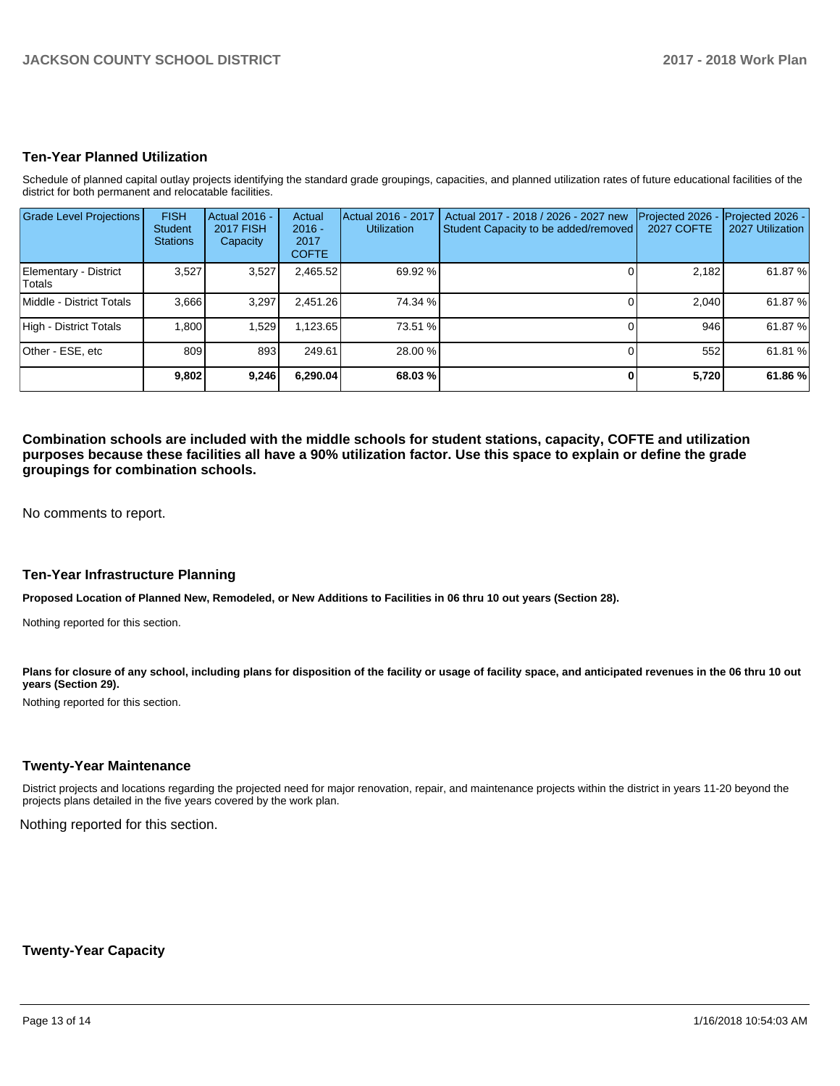### **Ten-Year Planned Utilization**

Schedule of planned capital outlay projects identifying the standard grade groupings, capacities, and planned utilization rates of future educational facilities of the district for both permanent and relocatable facilities.

| <b>Grade Level Projections</b>  | <b>FISH</b><br><b>Student</b><br><b>Stations</b> | <b>Actual 2016 -</b><br><b>2017 FISH</b><br>Capacity | Actual<br>$2016 -$<br>2017<br><b>COFTE</b> | Actual 2016 - 2017<br><b>Utilization</b> | Actual 2017 - 2018 / 2026 - 2027 new<br>Student Capacity to be added/removed | Projected 2026<br><b>2027 COFTE</b> | Projected 2026 -<br>2027 Utilization |
|---------------------------------|--------------------------------------------------|------------------------------------------------------|--------------------------------------------|------------------------------------------|------------------------------------------------------------------------------|-------------------------------------|--------------------------------------|
| Elementary - District<br>Totals | 3,527                                            | 3,527                                                | 2,465.52                                   | 69.92 %                                  |                                                                              | 2,182                               | 61.87 %                              |
| Middle - District Totals        | 3,666                                            | 3,297                                                | 2,451.26                                   | 74.34 %                                  |                                                                              | 2.040                               | 61.87 %                              |
| High - District Totals          | 1.800                                            | 1,529                                                | 1,123.65                                   | 73.51 %                                  |                                                                              | 946                                 | 61.87 %                              |
| Other - ESE, etc                | 809                                              | 893                                                  | 249.61                                     | 28.00 %                                  |                                                                              | 552                                 | 61.81 %                              |
|                                 | 9,802                                            | 9,246                                                | 6,290.04                                   | 68.03 %                                  |                                                                              | 5,720                               | 61.86 %                              |

**Combination schools are included with the middle schools for student stations, capacity, COFTE and utilization purposes because these facilities all have a 90% utilization factor. Use this space to explain or define the grade groupings for combination schools.** 

No comments to report.

#### **Ten-Year Infrastructure Planning**

**Proposed Location of Planned New, Remodeled, or New Additions to Facilities in 06 thru 10 out years (Section 28).**

Nothing reported for this section.

Plans for closure of any school, including plans for disposition of the facility or usage of facility space, and anticipated revenues in the 06 thru 10 out **years (Section 29).**

Nothing reported for this section.

### **Twenty-Year Maintenance**

District projects and locations regarding the projected need for major renovation, repair, and maintenance projects within the district in years 11-20 beyond the projects plans detailed in the five years covered by the work plan.

Nothing reported for this section.

**Twenty-Year Capacity**